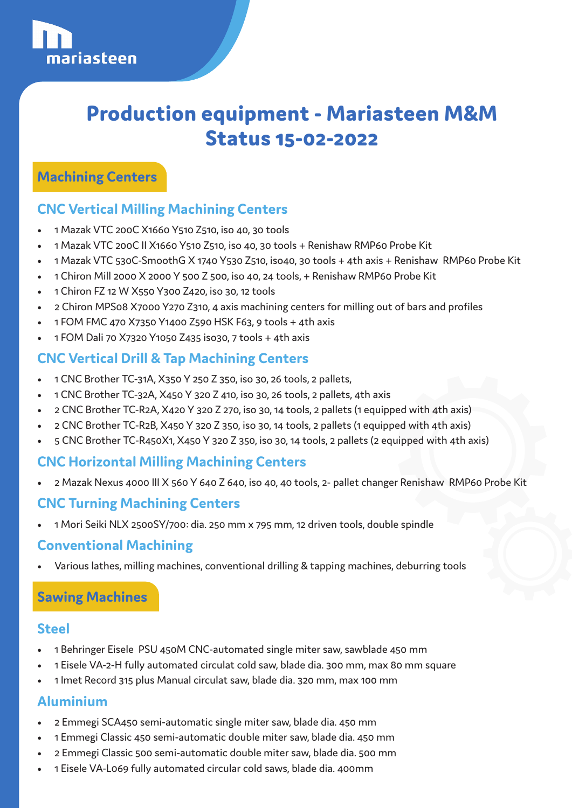# **Production equipment - Mariasteen M&M Status 15-02-2022**

### **Machining Centers**

## **CNC Vertical Milling Machining Centers**

- 1 Mazak VTC 200C X1660 Y510 Z510, iso 40, 30 tools
- 1 Mazak VTC 200C II X1660 Y510 Z510, iso 40, 30 tools + Renishaw RMP60 Probe Kit
- 1 Mazak VTC 530C-SmoothG X 1740 Y530 Z510, iso40, 30 tools + 4th axis + Renishaw RMP60 Probe Kit
- 1 Chiron Mill 2000 X 2000 Y 500 Z 500, iso 40, 24 tools, + Renishaw RMP60 Probe Kit
- 1 Chiron FZ 12 W X550 Y300 Z420, iso 30, 12 tools
- 2 Chiron MPS08 X7000 Y270 Z310, 4 axis machining centers for milling out of bars and profiles
- 1 FOM FMC 470 X7350 Y1400 Z590 HSK F63, 9 tools + 4th axis
- 1 FOM Dali 70 X7320 Y1050 Z435 iso30, 7 tools + 4th axis

## **CNC Vertical Drill & Tap Machining Centers**

- 1 CNC Brother TC-31A, X350 Y 250 Z 350, iso 30, 26 tools, 2 pallets,
- 1 CNC Brother TC-32A, X450 Y 320 Z 410, iso 30, 26 tools, 2 pallets, 4th axis
- 2 CNC Brother TC-R2A, X420 Y 320 Z 270, iso 30, 14 tools, 2 pallets (1 equipped with 4th axis)
- 2 CNC Brother TC-R2B, X450 Y 320 Z 350, iso 30, 14 tools, 2 pallets (1 equipped with 4th axis)
- 5 CNC Brother TC-R450X1, X450 Y 320 Z 350, iso 30, 14 tools, 2 pallets (2 equipped with 4th axis)

## **CNC Horizontal Milling Machining Centers**

• 2 Mazak Nexus 4000 III X 560 Y 640 Z 640, iso 40, 40 tools, 2- pallet changer Renishaw RMP60 Probe Kit

#### **CNC Turning Machining Centers**

• 1 Mori Seiki NLX 2500SY/700: dia. 250 mm x 795 mm, 12 driven tools, double spindle

#### **Conventional Machining**

• Various lathes, milling machines, conventional drilling & tapping machines, deburring tools

## **Sawing Machines**

#### **Steel**

- 1 Behringer Eisele PSU 450M CNC-automated single miter saw, sawblade 450 mm
- 1 Eisele VA-2-H fully automated circulat cold saw, blade dia. 300 mm, max 80 mm square
- 1 Imet Record 315 plus Manual circulat saw, blade dia. 320 mm, max 100 mm

## **Aluminium**

- 2 Emmegi SCA450 semi-automatic single miter saw, blade dia. 450 mm
- 1 Emmegi Classic 450 semi-automatic double miter saw, blade dia. 450 mm
- 2 Emmegi Classic 500 semi-automatic double miter saw, blade dia. 500 mm
- 1 Eisele VA-L069 fully automated circular cold saws, blade dia. 400mm